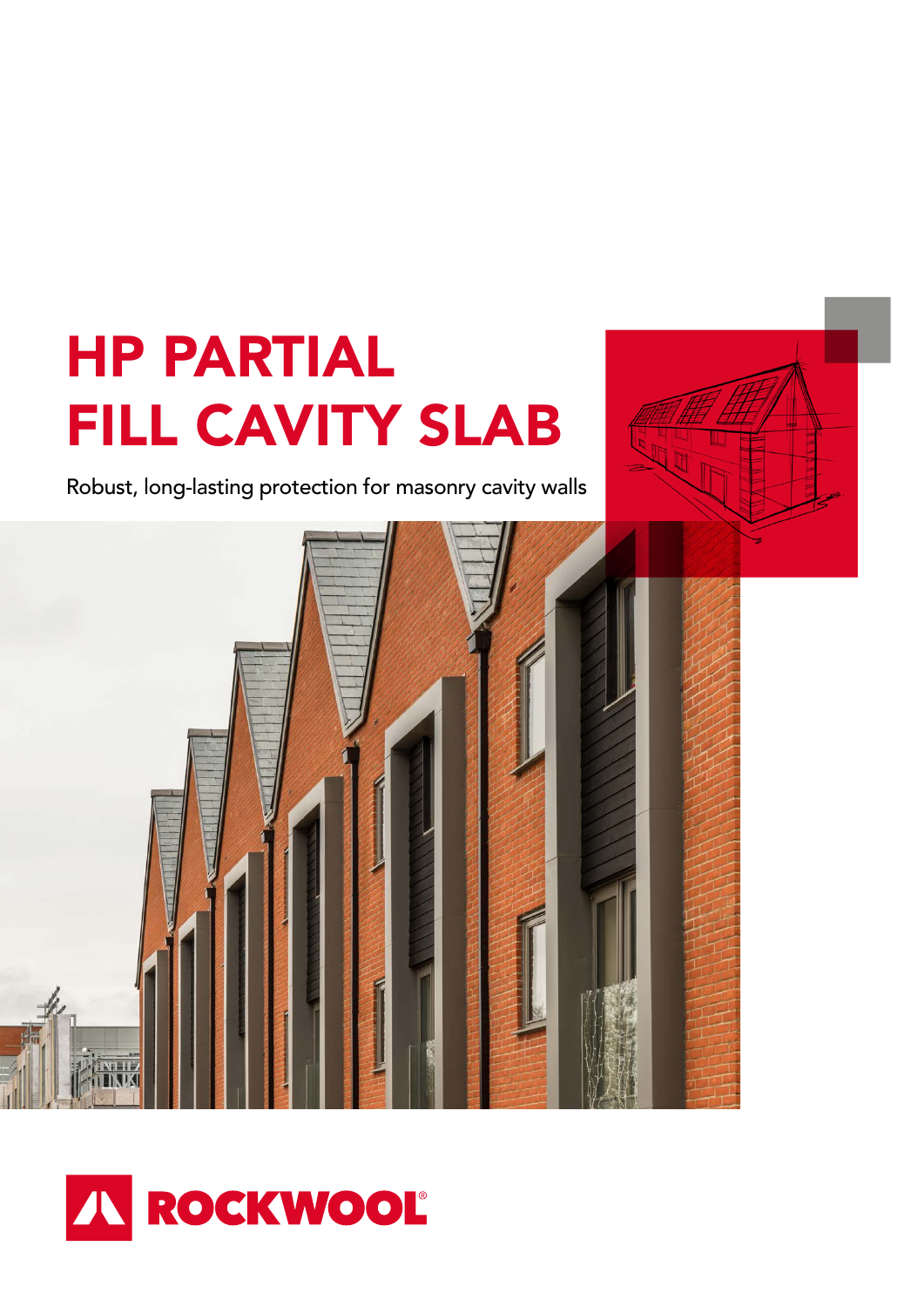# HP PARTIAL FILL CAVITY SLAB

Robust, long-lasting protection for masonry cavity walls



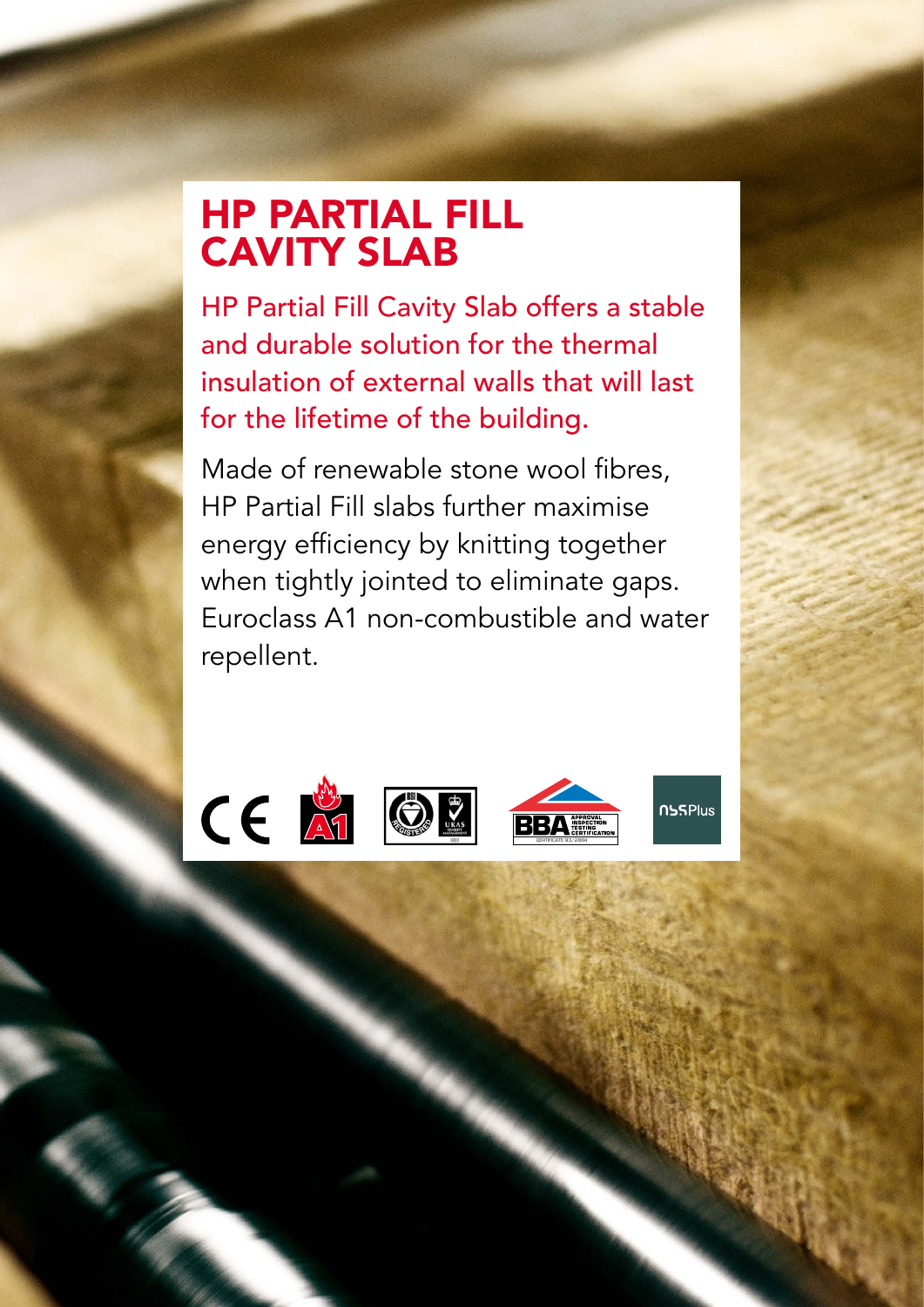## HP PARTIAL FILL CAVITY SLAB

HP Partial Fill Cavity Slab offers a stable and durable solution for the thermal insulation of external walls that will last for the lifetime of the building.

Made of renewable stone wool fibres, HP Partial Fill slabs further maximise energy efficiency by knitting together when tightly jointed to eliminate gaps. Euroclass A1 non-combustible and water repellent.

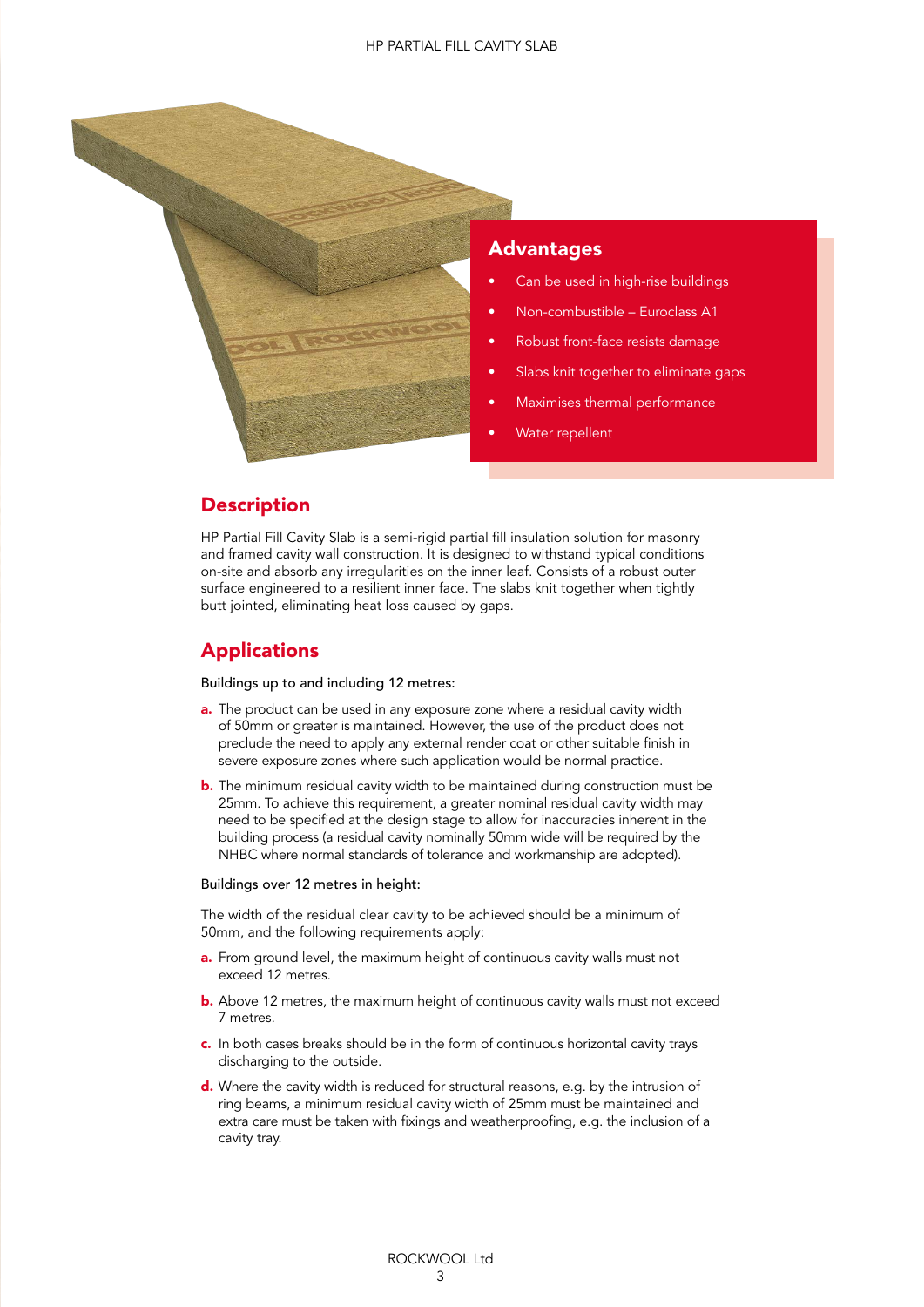

## Advantages

- Can be used in high-rise buildings
- Non-combustible Euroclass A1
- Robust front-face resists damage
- Slabs knit together to eliminate gaps
- Maximises thermal performance
- Water repellent

## **Description**

HP Partial Fill Cavity Slab is a semi-rigid partial fill insulation solution for masonry and framed cavity wall construction. It is designed to withstand typical conditions on-site and absorb any irregularities on the inner leaf. Consists of a robust outer surface engineered to a resilient inner face. The slabs knit together when tightly butt jointed, eliminating heat loss caused by gaps.

## **Applications**

#### Buildings up to and including 12 metres:

- **a.** The product can be used in any exposure zone where a residual cavity width of 50mm or greater is maintained. However, the use of the product does not preclude the need to apply any external render coat or other suitable finish in severe exposure zones where such application would be normal practice.
- **b.** The minimum residual cavity width to be maintained during construction must be 25mm. To achieve this requirement, a greater nominal residual cavity width may need to be specified at the design stage to allow for inaccuracies inherent in the building process (a residual cavity nominally 50mm wide will be required by the NHBC where normal standards of tolerance and workmanship are adopted).

#### Buildings over 12 metres in height:

The width of the residual clear cavity to be achieved should be a minimum of 50mm, and the following requirements apply:

- a. From ground level, the maximum height of continuous cavity walls must not exceed 12 metres.
- **b.** Above 12 metres, the maximum height of continuous cavity walls must not exceed 7 metres.
- c. In both cases breaks should be in the form of continuous horizontal cavity trays discharging to the outside.
- d. Where the cavity width is reduced for structural reasons, e.g. by the intrusion of ring beams, a minimum residual cavity width of 25mm must be maintained and extra care must be taken with fixings and weatherproofing, e.g. the inclusion of a cavity tray.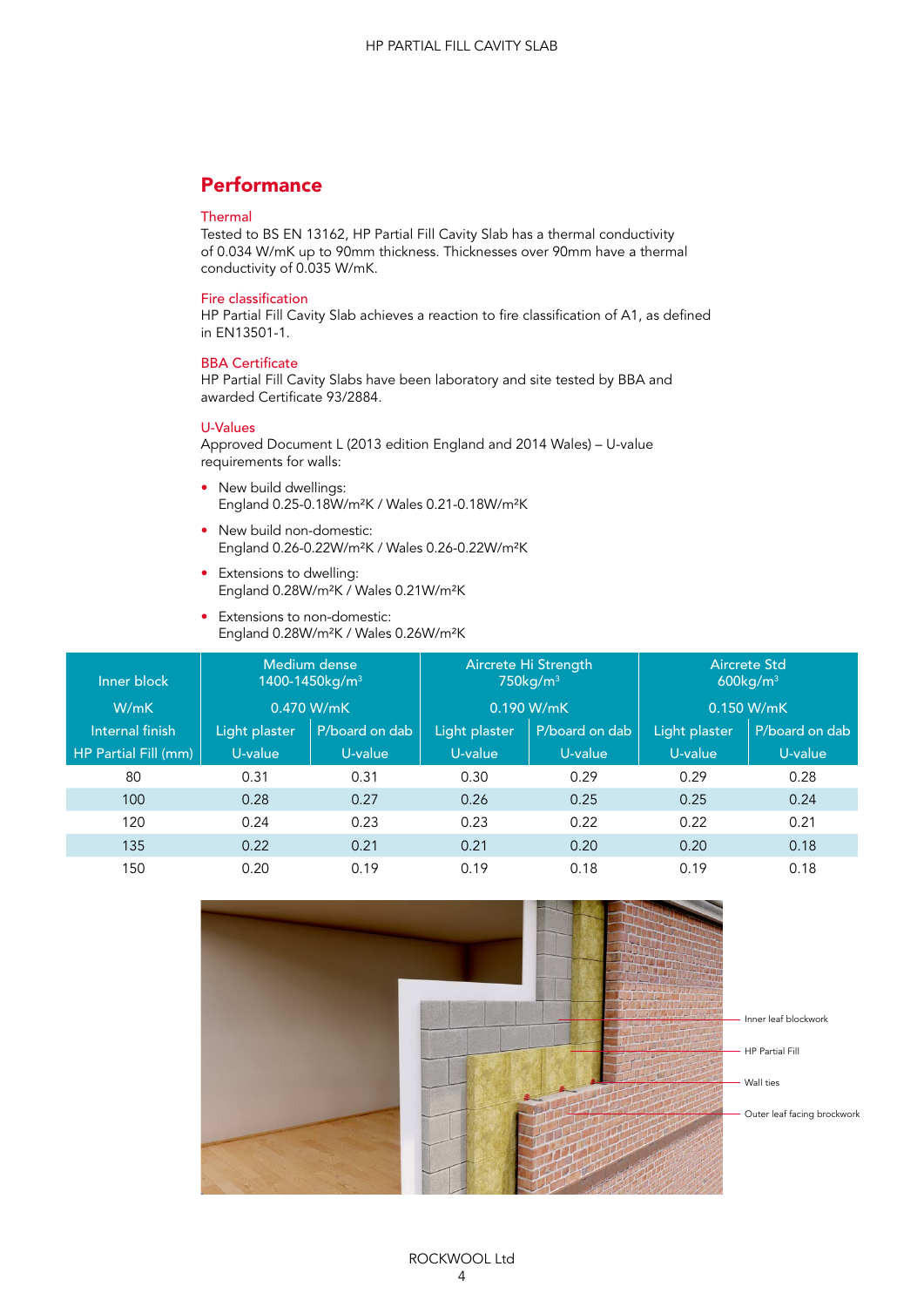## **Performance**

#### Thermal

Tested to BS EN 13162, HP Partial Fill Cavity Slab has a thermal conductivity of 0.034 W/mK up to 90mm thickness. Thicknesses over 90mm have a thermal conductivity of 0.035 W/mK.

#### Fire classification

HP Partial Fill Cavity Slab achieves a reaction to fire classification of A1, as defined in EN13501-1.

#### BBA Certificate

HP Partial Fill Cavity Slabs have been laboratory and site tested by BBA and awarded Certificate 93/2884.

#### U-Values

Approved Document L (2013 edition England and 2014 Wales) – U-value requirements for walls:

- New build dwellings: England 0.25-0.18W/m²K / Wales 0.21-0.18W/m²K
- New build non-domestic: England 0.26-0.22W/m²K / Wales 0.26-0.22W/m²K
- Extensions to dwelling: England 0.28W/m²K / Wales 0.21W/m²K
- Extensions to non-domestic: England 0.28W/m²K / Wales 0.26W/m²K

| Inner block          | Medium dense<br>1400-1450kg/m <sup>3</sup> |                | Aircrete Hi Strength<br>750kg/m <sup>3</sup> |                | <b>Aircrete Std</b><br>600kg/m <sup>3</sup> |                |
|----------------------|--------------------------------------------|----------------|----------------------------------------------|----------------|---------------------------------------------|----------------|
| W/mK                 | 0.470 W/mK                                 |                | 0.190 W/mK                                   |                | 0.150 W/mK                                  |                |
| Internal finish      | Light plaster                              | P/board on dab | Light plaster                                | P/board on dab | Light plaster                               | P/board on dab |
| HP Partial Fill (mm) | U-value                                    | U-value        | U-value                                      | U-value        | U-value                                     | U-value        |
| 80                   | 0.31                                       | 0.31           | 0.30                                         | 0.29           | 0.29                                        | 0.28           |
| 100                  | 0.28                                       | 0.27           | 0.26                                         | 0.25           | 0.25                                        | 0.24           |
| 120                  | 0.24                                       | 0.23           | 0.23                                         | 0.22           | 0.22                                        | 0.21           |
| 135                  | 0.22                                       | 0.21           | 0.21                                         | 0.20           | 0.20                                        | 0.18           |
| 150                  | 0.20                                       | 0.19           | 0.19                                         | 0.18           | 0.19                                        | 0.18           |

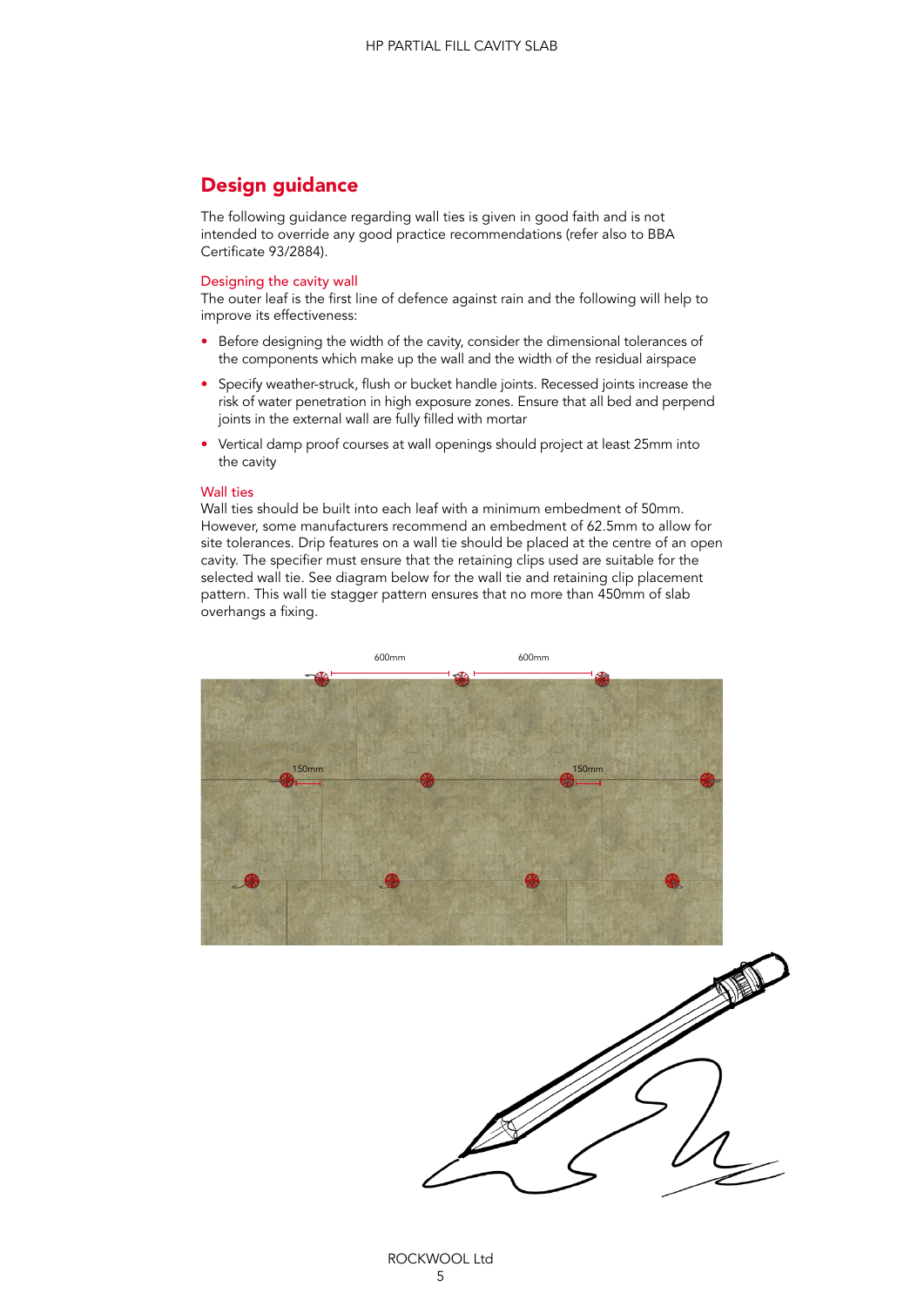## Design guidance

The following guidance regarding wall ties is given in good faith and is not intended to override any good practice recommendations (refer also to BBA Certificate 93/2884).

#### Designing the cavity wall

The outer leaf is the first line of defence against rain and the following will help to improve its effectiveness:

- Before designing the width of the cavity, consider the dimensional tolerances of the components which make up the wall and the width of the residual airspace
- Specify weather-struck, flush or bucket handle joints. Recessed joints increase the risk of water penetration in high exposure zones. Ensure that all bed and perpend joints in the external wall are fully filled with mortar
- Vertical damp proof courses at wall openings should project at least 25mm into the cavity

#### Wall ties

Wall ties should be built into each leaf with a minimum embedment of 50mm. However, some manufacturers recommend an embedment of 62.5mm to allow for site tolerances. Drip features on a wall tie should be placed at the centre of an open cavity. The specifier must ensure that the retaining clips used are suitable for the selected wall tie. See diagram below for the wall tie and retaining clip placement pattern. This wall tie stagger pattern ensures that no more than 450mm of slab overhangs a fixing.



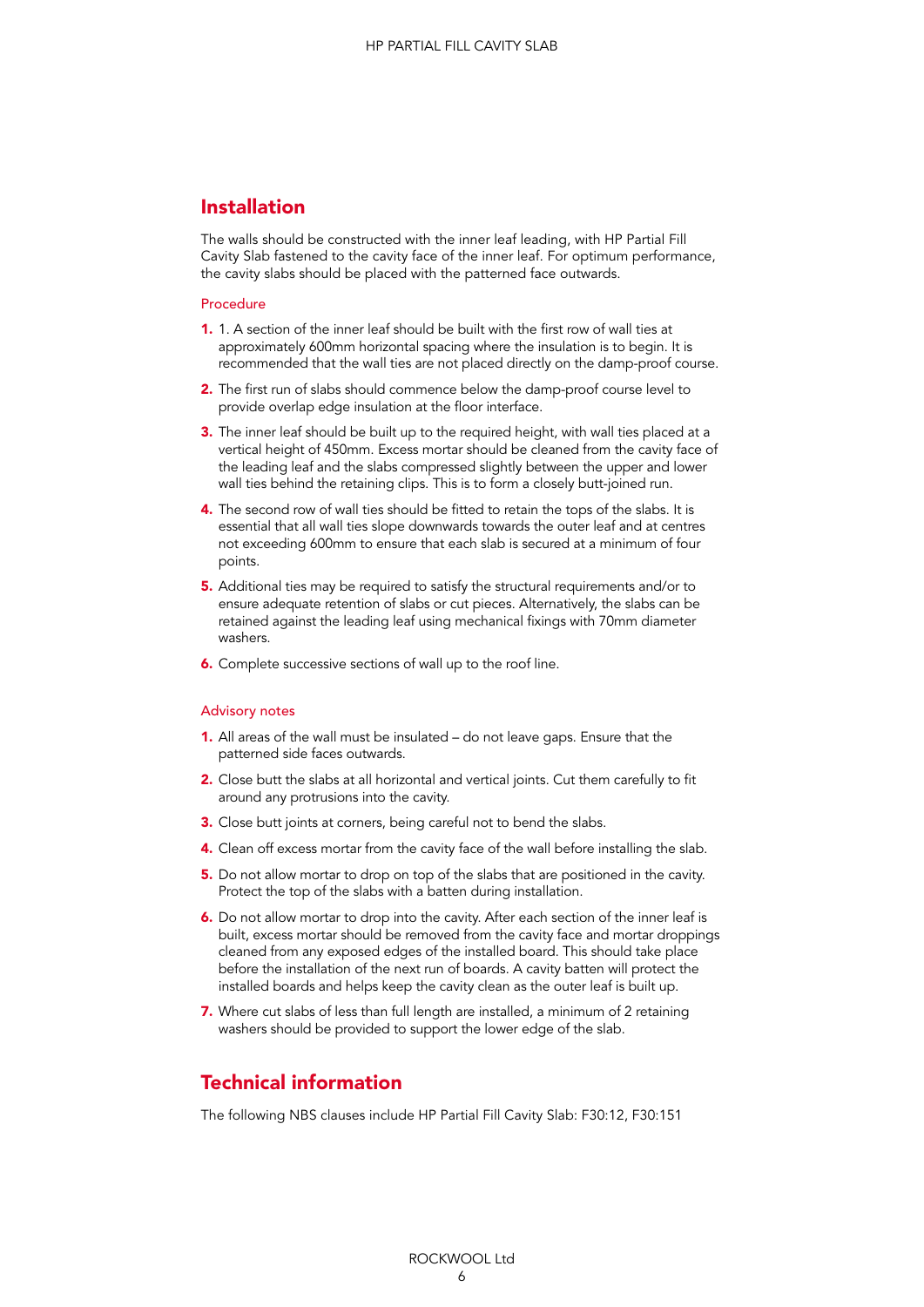## Installation

The walls should be constructed with the inner leaf leading, with HP Partial Fill Cavity Slab fastened to the cavity face of the inner leaf. For optimum performance, the cavity slabs should be placed with the patterned face outwards.

#### Procedure

- 1. 1. A section of the inner leaf should be built with the first row of wall ties at approximately 600mm horizontal spacing where the insulation is to begin. It is recommended that the wall ties are not placed directly on the damp-proof course.
- 2. The first run of slabs should commence below the damp-proof course level to provide overlap edge insulation at the floor interface.
- 3. The inner leaf should be built up to the required height, with wall ties placed at a vertical height of 450mm. Excess mortar should be cleaned from the cavity face of the leading leaf and the slabs compressed slightly between the upper and lower wall ties behind the retaining clips. This is to form a closely butt-joined run.
- 4. The second row of wall ties should be fitted to retain the tops of the slabs. It is essential that all wall ties slope downwards towards the outer leaf and at centres not exceeding 600mm to ensure that each slab is secured at a minimum of four points.
- 5. Additional ties may be required to satisfy the structural requirements and/or to ensure adequate retention of slabs or cut pieces. Alternatively, the slabs can be retained against the leading leaf using mechanical fixings with 70mm diameter washers.
- 6. Complete successive sections of wall up to the roof line.

#### Advisory notes

- 1. All areas of the wall must be insulated do not leave gaps. Ensure that the patterned side faces outwards.
- 2. Close butt the slabs at all horizontal and vertical joints. Cut them carefully to fit around any protrusions into the cavity.
- 3. Close butt joints at corners, being careful not to bend the slabs.
- 4. Clean off excess mortar from the cavity face of the wall before installing the slab.
- 5. Do not allow mortar to drop on top of the slabs that are positioned in the cavity. Protect the top of the slabs with a batten during installation.
- 6. Do not allow mortar to drop into the cavity. After each section of the inner leaf is built, excess mortar should be removed from the cavity face and mortar droppings cleaned from any exposed edges of the installed board. This should take place before the installation of the next run of boards. A cavity batten will protect the installed boards and helps keep the cavity clean as the outer leaf is built up.
- 7. Where cut slabs of less than full length are installed, a minimum of 2 retaining washers should be provided to support the lower edge of the slab.

## Technical information

The following NBS clauses include HP Partial Fill Cavity Slab: F30:12, F30:151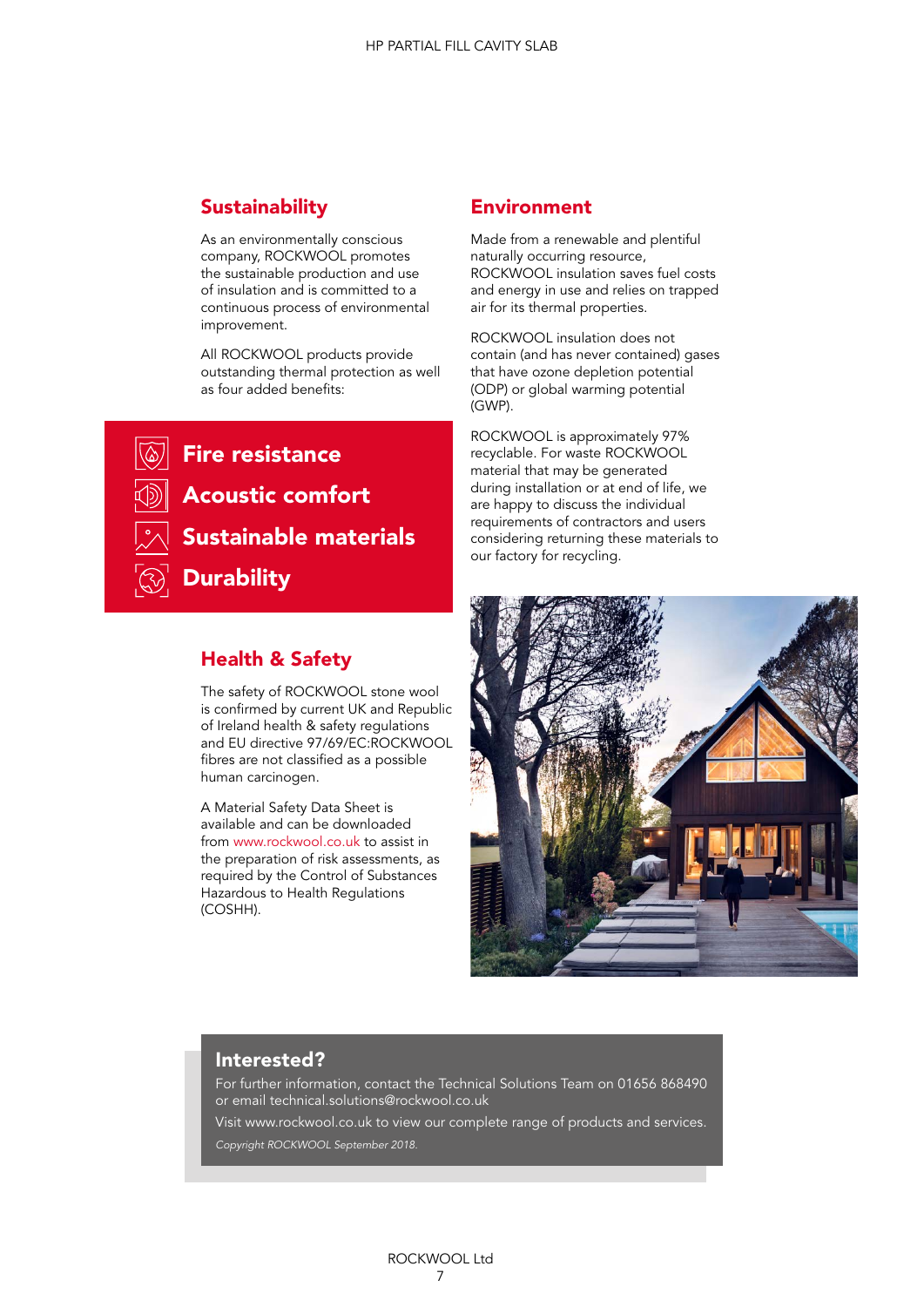## **Sustainability**

As an environmentally conscious company, ROCKWOOL promotes the sustainable production and use of insulation and is committed to a continuous process of environmental improvement.

All ROCKWOOL products provide outstanding thermal protection as well as four added benefits:

**Fire resistance** Acoustic comfort Sustainable materials **Durability** 

## Health & Safety

The safety of ROCKWOOL stone wool is confirmed by current UK and Republic of Ireland health & safety regulations and EU directive 97/69/EC:ROCKWOOL fibres are not classified as a possible human carcinogen.

A Material Safety Data Sheet is available and can be downloaded from www.rockwool.co.uk to assist in the preparation of risk assessments, as required by the Control of Substances Hazardous to Health Regulations (COSHH).

### Environment

Made from a renewable and plentiful naturally occurring resource, ROCKWOOL insulation saves fuel costs and energy in use and relies on trapped air for its thermal properties.

ROCKWOOL insulation does not contain (and has never contained) gases that have ozone depletion potential (ODP) or global warming potential (GWP).

ROCKWOOL is approximately 97% recyclable. For waste ROCKWOOL material that may be generated during installation or at end of life, we are happy to discuss the individual requirements of contractors and users considering returning these materials to our factory for recycling.



## Interested?

For further information, contact the Technical Solutions Team on 01656 868490 or email technical.solutions@rockwool.co.uk

Visit www.rockwool.co.uk to view our complete range of products and services. *Copyright ROCKWOOL September 2018.*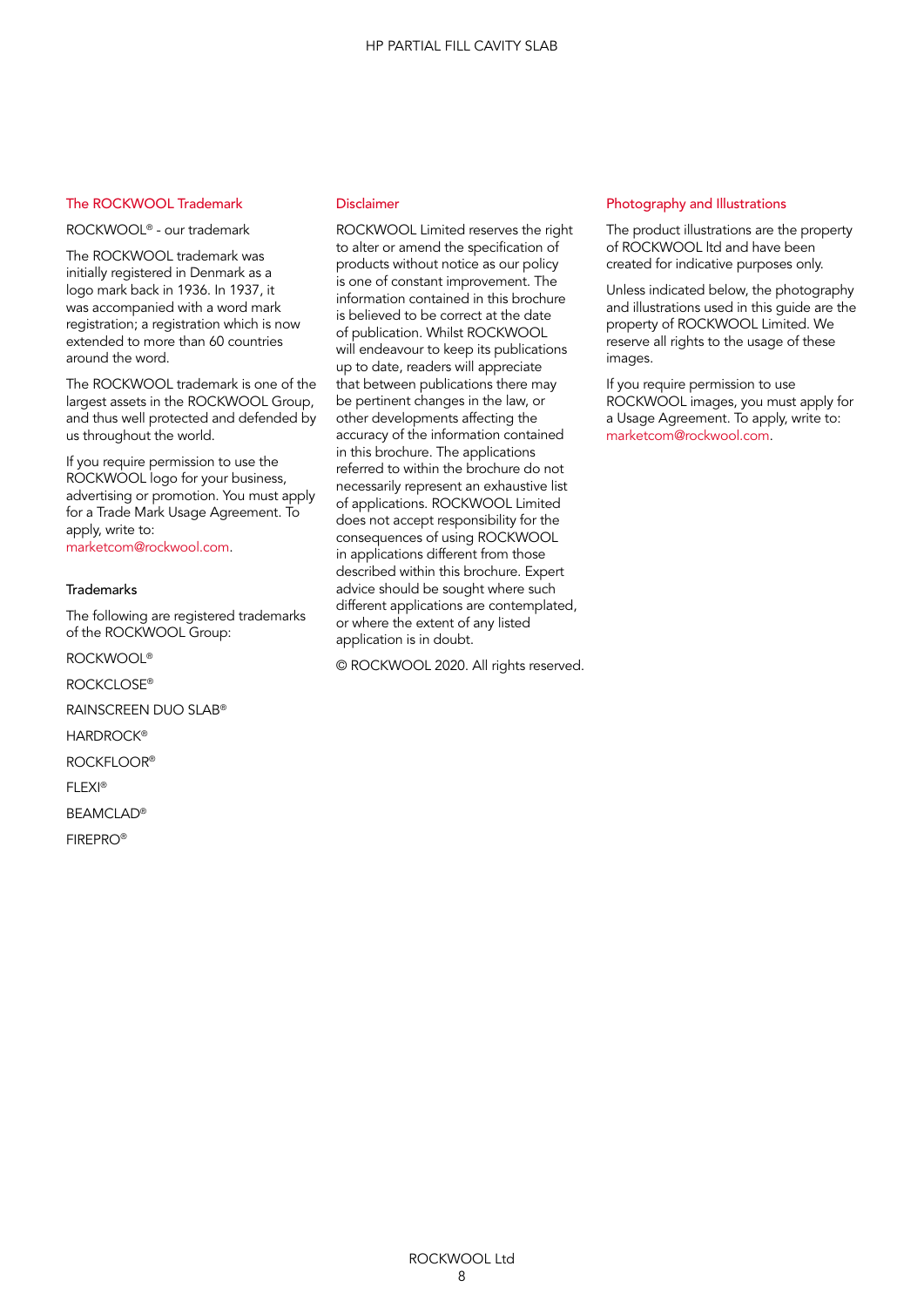#### The ROCKWOOL Trademark

ROCKWOOL® - our trademark

The ROCKWOOL trademark was initially registered in Denmark as a logo mark back in 1936. In 1937, it was accompanied with a word mark registration; a registration which is now extended to more than 60 countries around the word.

The ROCKWOOL trademark is one of the largest assets in the ROCKWOOL Group, and thus well protected and defended by us throughout the world.

If you require permission to use the ROCKWOOL logo for your business, advertising or promotion. You must apply for a Trade Mark Usage Agreement. To apply, write to:

marketcom@rockwool.com.

#### **Trademarks**

The following are registered trademarks of the ROCKWOOL Group:

ROCKWOOL®

ROCKCLOSE®

RAINSCREEN DUO SLAB®

**HARDROCK®** 

ROCKFLOOR®

FLEXI®

BEAMCLAD®

FIREPRO®

#### Disclaimer

ROCKWOOL Limited reserves the right to alter or amend the specification of products without notice as our policy is one of constant improvement. The information contained in this brochure is believed to be correct at the date of publication. Whilst ROCKWOOL will endeavour to keep its publications up to date, readers will appreciate that between publications there may be pertinent changes in the law, or other developments affecting the accuracy of the information contained in this brochure. The applications referred to within the brochure do not necessarily represent an exhaustive list of applications. ROCKWOOL Limited does not accept responsibility for the consequences of using ROCKWOOL in applications different from those described within this brochure. Expert advice should be sought where such different applications are contemplated, or where the extent of any listed application is in doubt.

© ROCKWOOL 2020. All rights reserved.

#### Photography and Illustrations

The product illustrations are the property of ROCKWOOL ltd and have been created for indicative purposes only.

Unless indicated below, the photography and illustrations used in this guide are the property of ROCKWOOL Limited. We reserve all rights to the usage of these images.

If you require permission to use ROCKWOOL images, you must apply for a Usage Agreement. To apply, write to: marketcom@rockwool.com.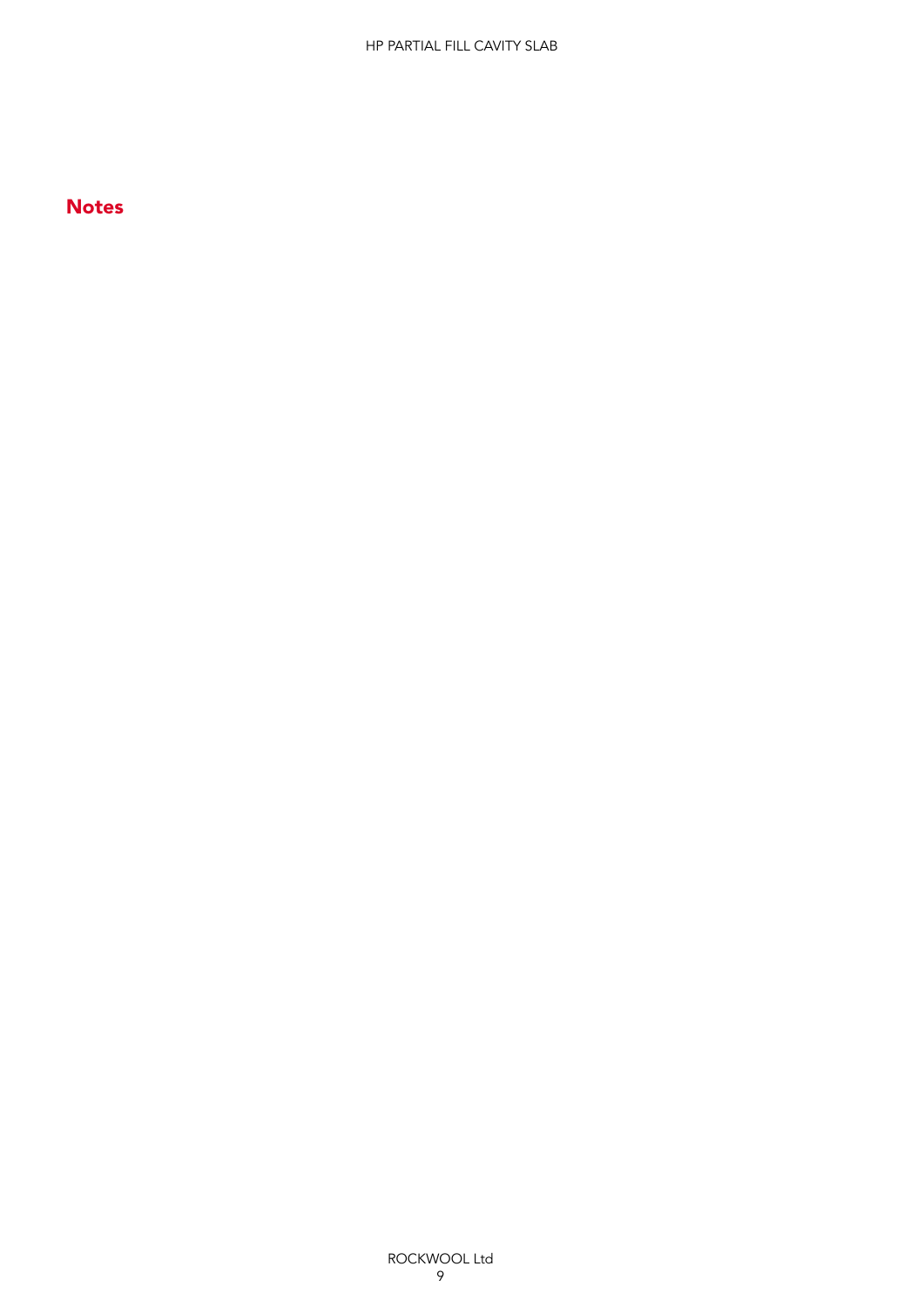## **Notes**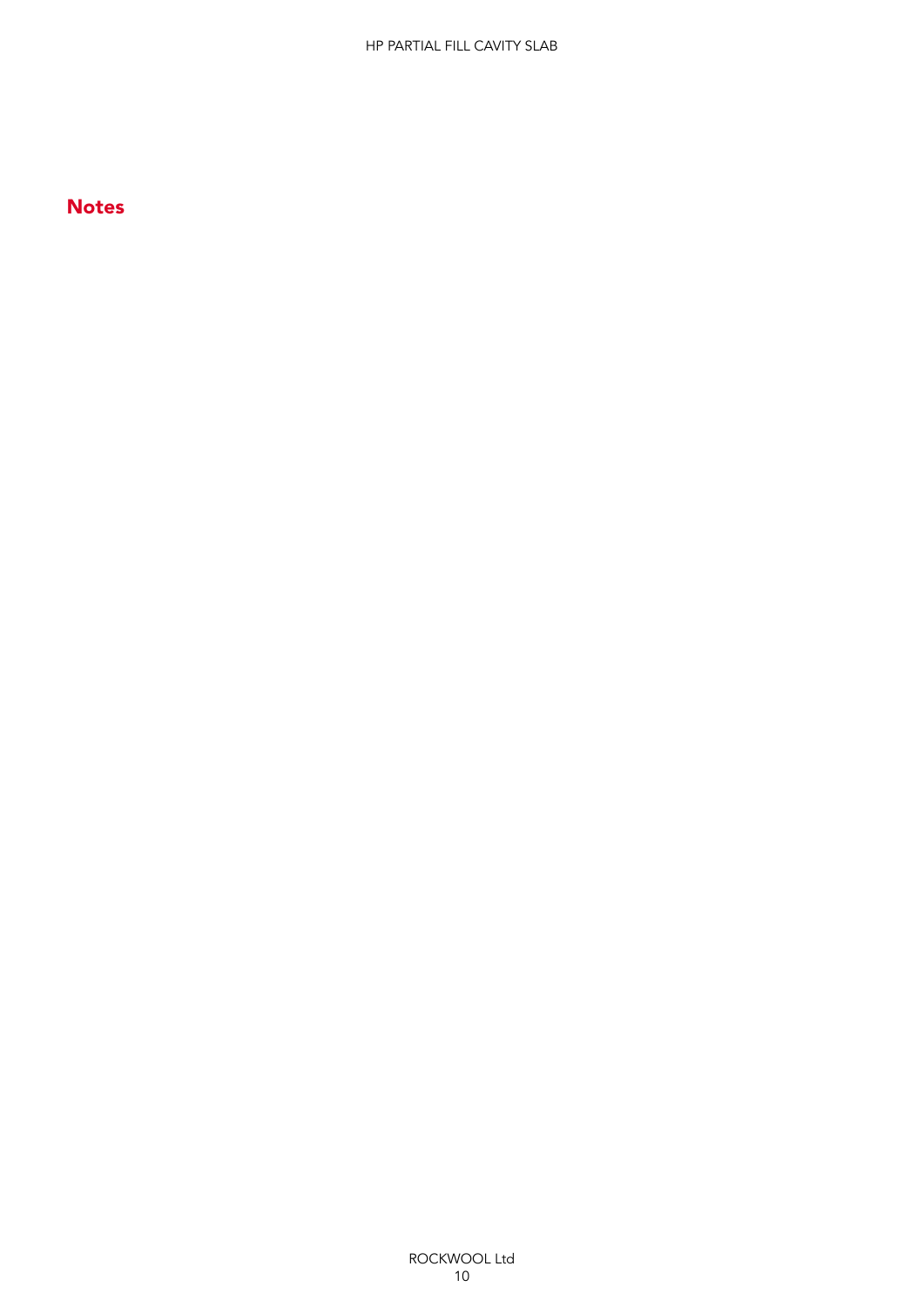## Notes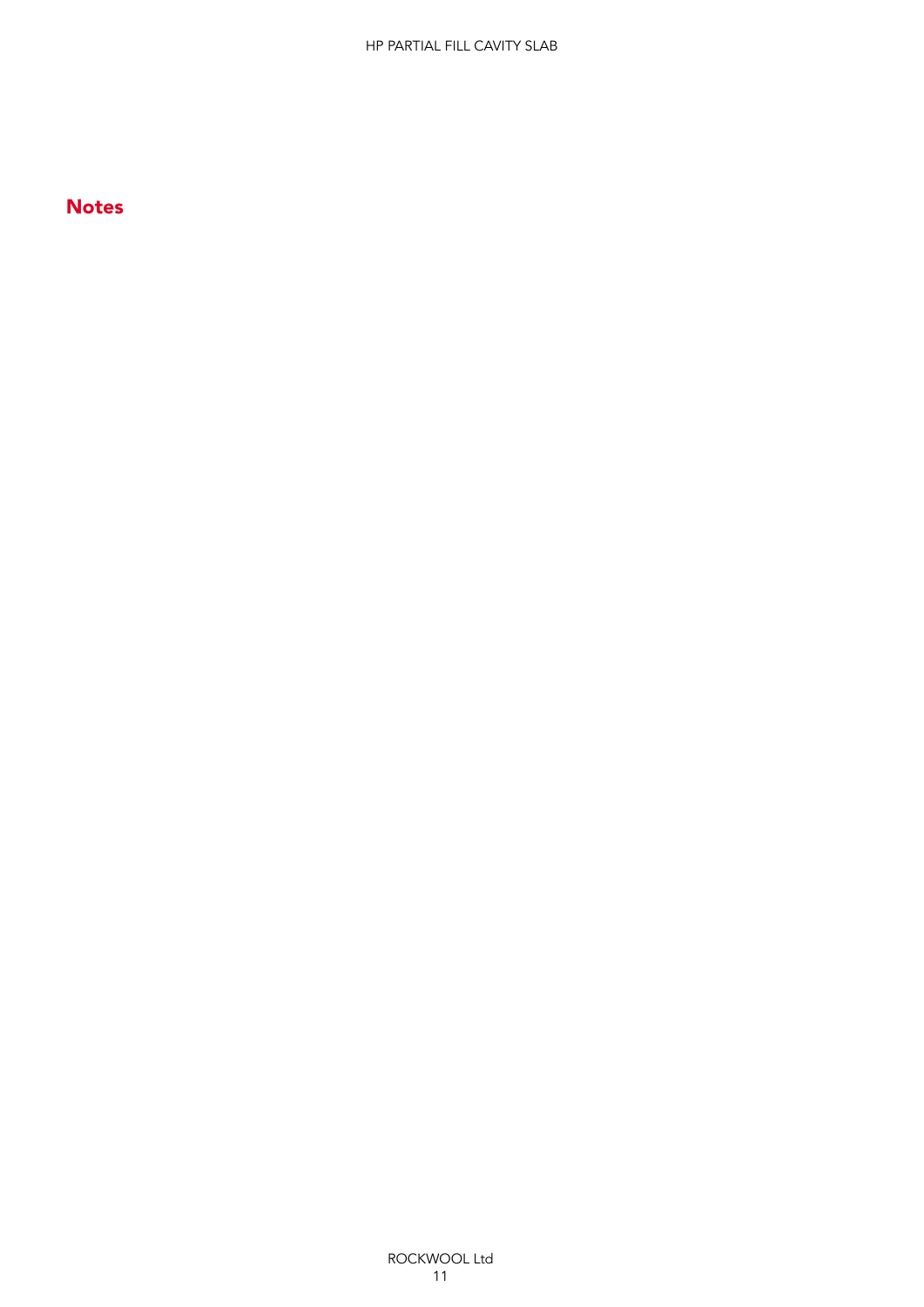## **Notes**